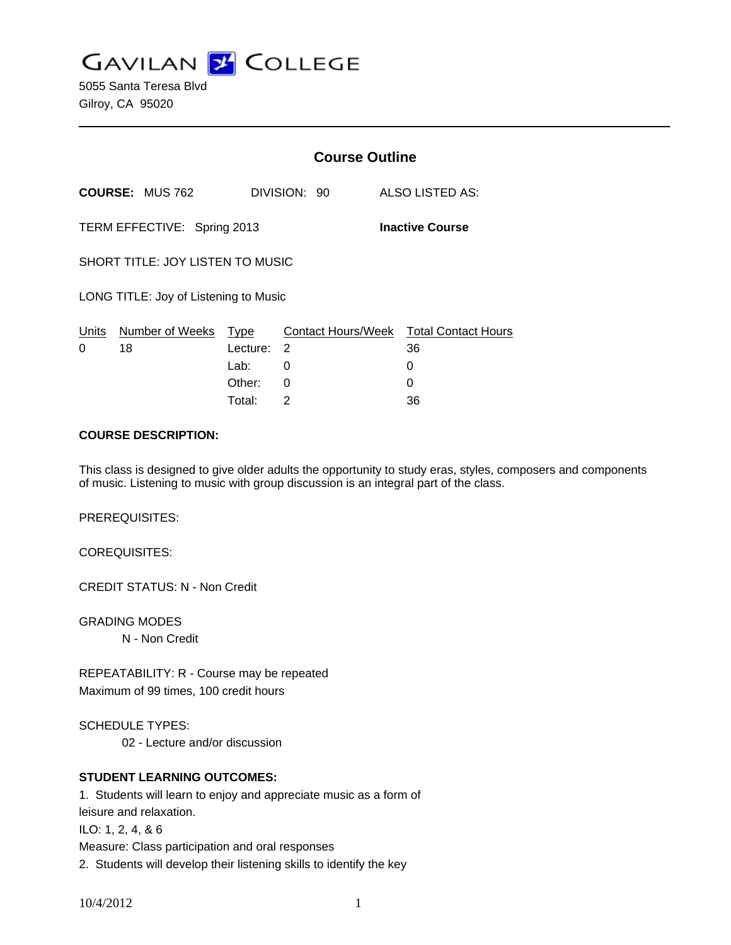**GAVILAN J COLLEGE** 

5055 Santa Teresa Blvd Gilroy, CA 95020

|                                                       |                        | <b>Course Outline</b> |              |                                        |
|-------------------------------------------------------|------------------------|-----------------------|--------------|----------------------------------------|
|                                                       | <b>COURSE: MUS 762</b> |                       | DIVISION: 90 | ALSO LISTED AS:                        |
| <b>Inactive Course</b><br>TERM EFFECTIVE: Spring 2013 |                        |                       |              |                                        |
| SHORT TITLE: JOY LISTEN TO MUSIC                      |                        |                       |              |                                        |
| LONG TITLE: Joy of Listening to Music                 |                        |                       |              |                                        |
|                                                       | Units Number of Weeks  | Type                  |              | Contact Hours/Week Total Contact Hours |
| 0                                                     | 18                     | Lecture: 2            |              | 36                                     |
|                                                       |                        | Lab: __               | 0            | 0                                      |
|                                                       |                        | Other:                | 0            | 0                                      |
|                                                       |                        | Total:                | 2            | 36                                     |

### **COURSE DESCRIPTION:**

This class is designed to give older adults the opportunity to study eras, styles, composers and components of music. Listening to music with group discussion is an integral part of the class.

PREREQUISITES:

COREQUISITES:

CREDIT STATUS: N - Non Credit

GRADING MODES N - Non Credit

REPEATABILITY: R - Course may be repeated Maximum of 99 times, 100 credit hours

SCHEDULE TYPES:

02 - Lecture and/or discussion

## **STUDENT LEARNING OUTCOMES:**

1. Students will learn to enjoy and appreciate music as a form of leisure and relaxation.

ILO: 1, 2, 4, & 6

Measure: Class participation and oral responses

2. Students will develop their listening skills to identify the key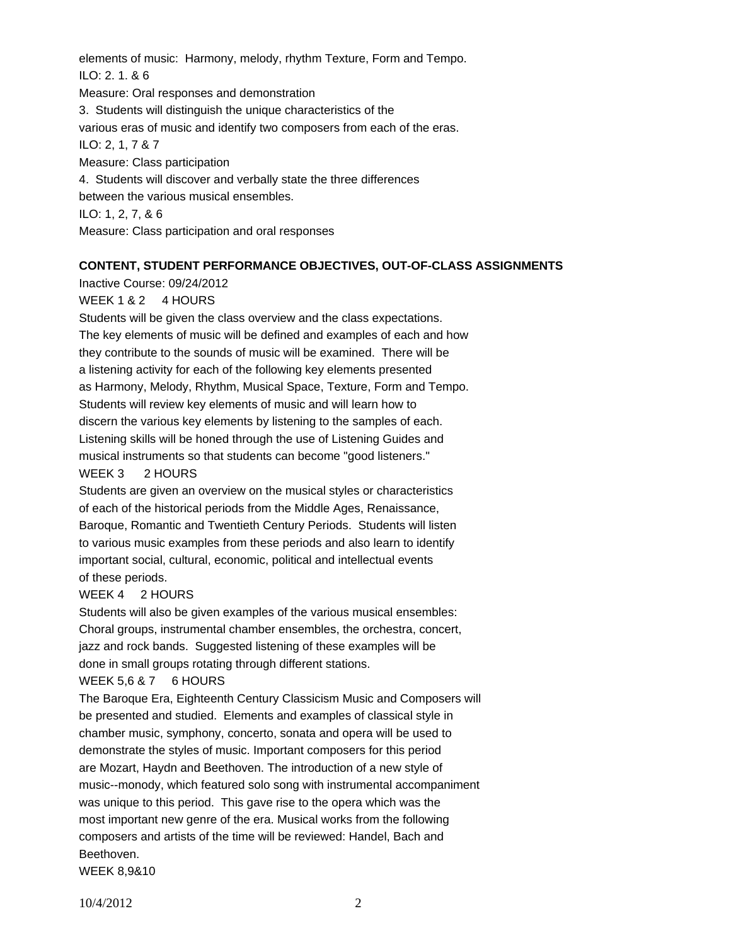elements of music: Harmony, melody, rhythm Texture, Form and Tempo. ILO: 2. 1. & 6 Measure: Oral responses and demonstration 3. Students will distinguish the unique characteristics of the various eras of music and identify two composers from each of the eras. ILO: 2, 1, 7 & 7 Measure: Class participation 4. Students will discover and verbally state the three differences between the various musical ensembles. ILO: 1, 2, 7, & 6 Measure: Class participation and oral responses

## **CONTENT, STUDENT PERFORMANCE OBJECTIVES, OUT-OF-CLASS ASSIGNMENTS**

Inactive Course: 09/24/2012

## WEEK 1 & 2 4 HOURS

Students will be given the class overview and the class expectations. The key elements of music will be defined and examples of each and how they contribute to the sounds of music will be examined. There will be a listening activity for each of the following key elements presented as Harmony, Melody, Rhythm, Musical Space, Texture, Form and Tempo. Students will review key elements of music and will learn how to discern the various key elements by listening to the samples of each. Listening skills will be honed through the use of Listening Guides and musical instruments so that students can become "good listeners."

## WEEK 3 2 HOURS

Students are given an overview on the musical styles or characteristics of each of the historical periods from the Middle Ages, Renaissance, Baroque, Romantic and Twentieth Century Periods. Students will listen to various music examples from these periods and also learn to identify important social, cultural, economic, political and intellectual events of these periods.

#### WEEK 4 2 HOURS

Students will also be given examples of the various musical ensembles: Choral groups, instrumental chamber ensembles, the orchestra, concert, jazz and rock bands. Suggested listening of these examples will be done in small groups rotating through different stations.

#### WEEK 5,6 & 7 6 HOURS

The Baroque Era, Eighteenth Century Classicism Music and Composers will be presented and studied. Elements and examples of classical style in chamber music, symphony, concerto, sonata and opera will be used to demonstrate the styles of music. Important composers for this period are Mozart, Haydn and Beethoven. The introduction of a new style of music--monody, which featured solo song with instrumental accompaniment was unique to this period. This gave rise to the opera which was the most important new genre of the era. Musical works from the following composers and artists of the time will be reviewed: Handel, Bach and Beethoven.

WEEK 8,9&10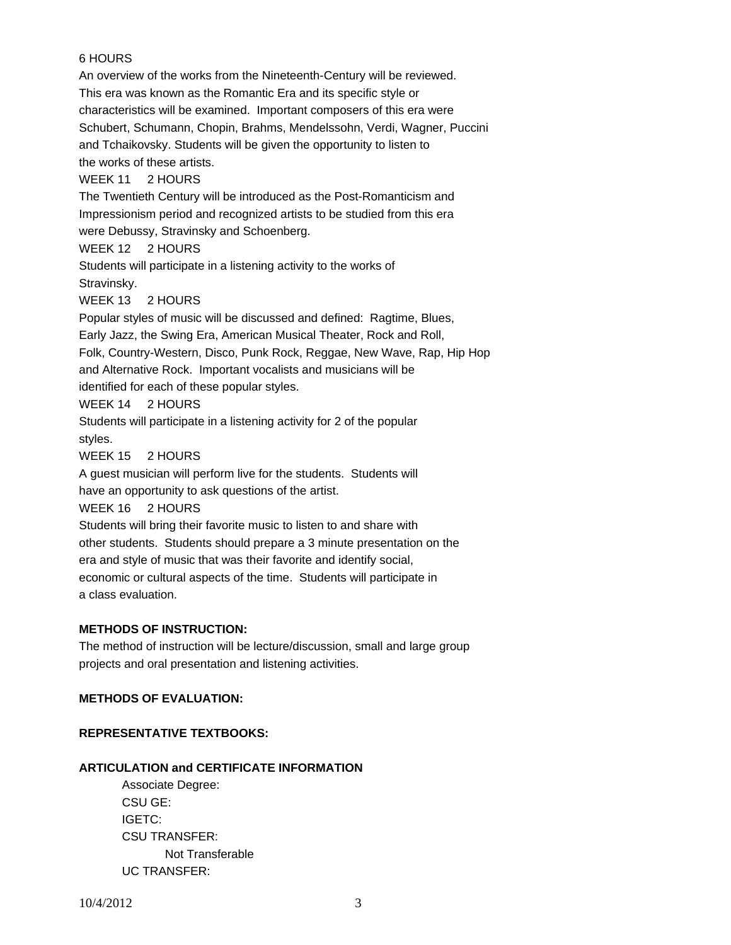# 6 HOURS

An overview of the works from the Nineteenth-Century will be reviewed. This era was known as the Romantic Era and its specific style or characteristics will be examined. Important composers of this era were Schubert, Schumann, Chopin, Brahms, Mendelssohn, Verdi, Wagner, Puccini and Tchaikovsky. Students will be given the opportunity to listen to the works of these artists.

# WEEK 11 2 HOURS

The Twentieth Century will be introduced as the Post-Romanticism and Impressionism period and recognized artists to be studied from this era were Debussy, Stravinsky and Schoenberg.

### WEEK 12 2 HOURS

Students will participate in a listening activity to the works of Stravinsky.

## WEEK 13 2 HOURS

Popular styles of music will be discussed and defined: Ragtime, Blues, Early Jazz, the Swing Era, American Musical Theater, Rock and Roll, Folk, Country-Western, Disco, Punk Rock, Reggae, New Wave, Rap, Hip Hop and Alternative Rock. Important vocalists and musicians will be identified for each of these popular styles.

### WEEK 14 2 HOURS

Students will participate in a listening activity for 2 of the popular styles.

WEEK 15 2 HOURS

A guest musician will perform live for the students. Students will have an opportunity to ask questions of the artist.

WEEK 16 2 HOURS

Students will bring their favorite music to listen to and share with other students. Students should prepare a 3 minute presentation on the era and style of music that was their favorite and identify social, economic or cultural aspects of the time. Students will participate in a class evaluation.

## **METHODS OF INSTRUCTION:**

The method of instruction will be lecture/discussion, small and large group projects and oral presentation and listening activities.

## **METHODS OF EVALUATION:**

## **REPRESENTATIVE TEXTBOOKS:**

## **ARTICULATION and CERTIFICATE INFORMATION**

 Associate Degree: CSU GE: IGETC: CSU TRANSFER: Not Transferable UC TRANSFER: